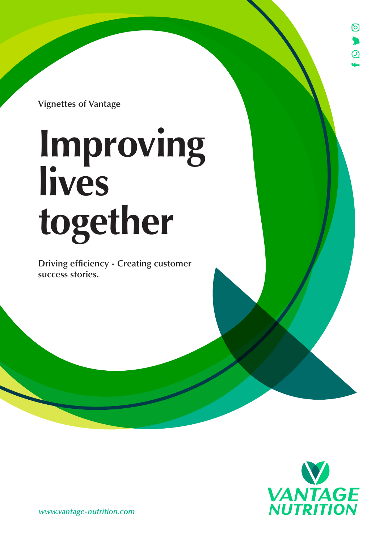ര  $\blacktriangleright$  $\overline{a}$ 

**Vignettes of Vantage**

# **Improving lives together**

**Driving efficiency - Creating customer success stories.**



*www.vantage-nutrition.com*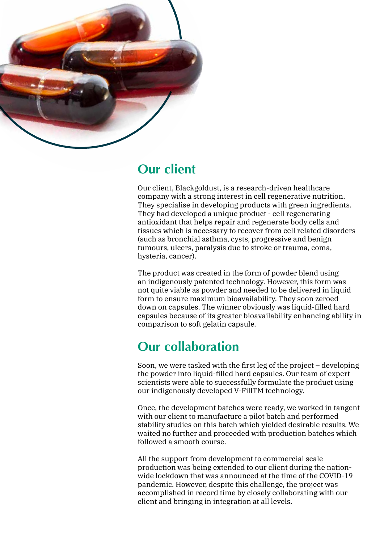

## **Our client**

Our client, Blackgoldust, is a research-driven healthcare company with a strong interest in cell regenerative nutrition. They specialise in developing products with green ingredients. They had developed a unique product - cell regenerating antioxidant that helps repair and regenerate body cells and tissues which is necessary to recover from cell related disorders (such as bronchial asthma, cysts, progressive and benign tumours, ulcers, paralysis due to stroke or trauma, coma, hysteria, cancer).

The product was created in the form of powder blend using an indigenously patented technology. However, this form was not quite viable as powder and needed to be delivered in liquid form to ensure maximum bioavailability. They soon zeroed down on capsules. The winner obviously was liquid-filled hard capsules because of its greater bioavailability enhancing ability in comparison to soft gelatin capsule.

## **Our collaboration**

Soon, we were tasked with the first leg of the project – developing the powder into liquid-filled hard capsules. Our team of expert scientists were able to successfully formulate the product using our indigenously developed V-FillTM technology.

Once, the development batches were ready, we worked in tangent with our client to manufacture a pilot batch and performed stability studies on this batch which yielded desirable results. We waited no further and proceeded with production batches which followed a smooth course.

All the support from development to commercial scale production was being extended to our client during the nationwide lockdown that was announced at the time of the COVID-19 pandemic. However, despite this challenge, the project was accomplished in record time by closely collaborating with our client and bringing in integration at all levels.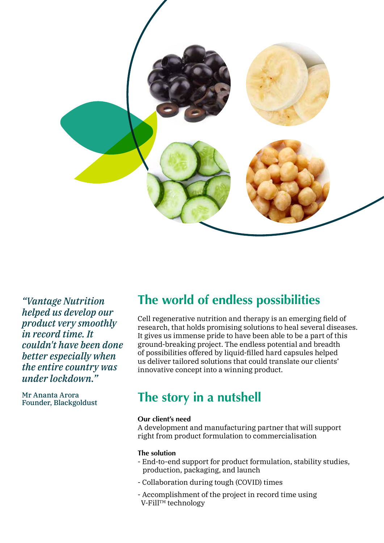

*"Vantage Nutrition helped us develop our product very smoothly in record time. It couldn't have been done better especially when the entire country was under lockdown."*

Mr Ananta Arora Founder, Blackgoldust

## **The world of endless possibilities**

Cell regenerative nutrition and therapy is an emerging field of research, that holds promising solutions to heal several diseases. It gives us immense pride to have been able to be a part of this ground-breaking project. The endless potential and breadth of possibilities offered by liquid-filled hard capsules helped us deliver tailored solutions that could translate our clients' innovative concept into a winning product.

## **The story in a nutshell**

## **Our client's need**

A development and manufacturing partner that will support right from product formulation to commercialisation

## **The solution**

- End-to-end support for product formulation, stability studies, production, packaging, and launch
- Collaboration during tough (COVID) times
- Accomplishment of the project in record time using V-Fill™ technology